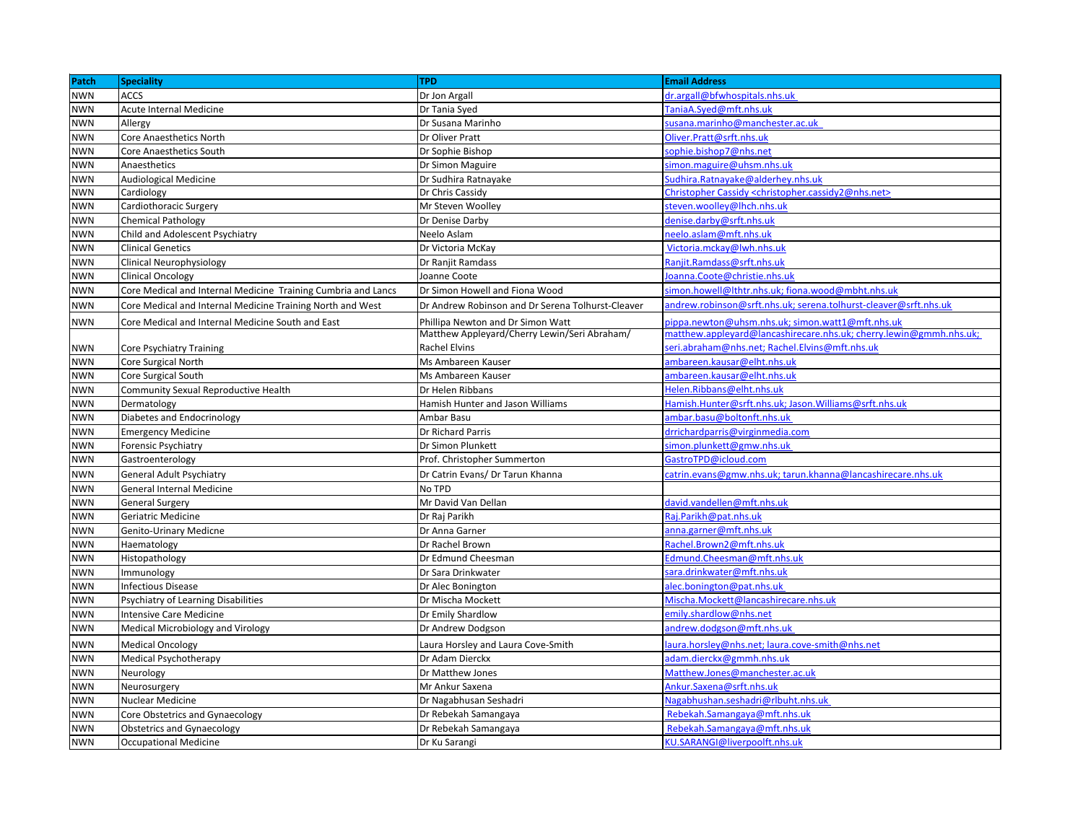| Patch      | <b>Speciality</b>                                             | <b>TPD</b>                                        | <b>Email Address</b>                                                              |
|------------|---------------------------------------------------------------|---------------------------------------------------|-----------------------------------------------------------------------------------|
| <b>NWN</b> | <b>ACCS</b>                                                   | Dr Jon Argall                                     | dr.argall@bfwhospitals.nhs.uk                                                     |
| <b>NWN</b> | Acute Internal Medicine                                       | Dr Tania Syed                                     | TaniaA.Syed@mft.nhs.uk                                                            |
| NWN        | Allergy                                                       | Dr Susana Marinho                                 | susana.marinho@manchester.ac.uk                                                   |
| <b>NWN</b> | Core Anaesthetics North                                       | Dr Oliver Pratt                                   | Oliver.Pratt@srft.nhs.uk                                                          |
| <b>NWN</b> | <b>Core Anaesthetics South</b>                                | Dr Sophie Bishop                                  | sophie.bishop7@nhs.net                                                            |
| <b>NWN</b> | Anaesthetics                                                  | Dr Simon Maguire                                  | simon.maguire@uhsm.nhs.uk                                                         |
| <b>NWN</b> | Audiological Medicine                                         | Dr Sudhira Ratnayake                              | Sudhira.Ratnayake@alderhey.nhs.uk                                                 |
| <b>NWN</b> | Cardiology                                                    | Dr Chris Cassidy                                  | Christopher Cassidy <christopher.cassidy2@nhs.net></christopher.cassidy2@nhs.net> |
| <b>NWN</b> | Cardiothoracic Surgery                                        | Mr Steven Woolley                                 | steven.woolley@lhch.nhs.uk                                                        |
| <b>NWN</b> | <b>Chemical Pathology</b>                                     | Dr Denise Darby                                   | denise.darby@srft.nhs.uk                                                          |
| NWN        | Child and Adolescent Psychiatry                               | Neelo Aslam                                       | neelo.aslam@mft.nhs.uk                                                            |
| <b>NWN</b> | <b>Clinical Genetics</b>                                      | Dr Victoria McKay                                 | Victoria.mckay@lwh.nhs.uk                                                         |
| NWN        | Clinical Neurophysiology                                      | Dr Ranjit Ramdass                                 | Ranjit.Ramdass@srft.nhs.uk                                                        |
| <b>NWN</b> | <b>Clinical Oncology</b>                                      | Joanne Coote                                      | oanna.Coote@christie.nhs.uk                                                       |
| NWN        | Core Medical and Internal Medicine Training Cumbria and Lancs | Dr Simon Howell and Fiona Wood                    | simon.howell@lthtr.nhs.uk; fiona.wood@mbht.nhs.uk                                 |
| <b>NWN</b> | Core Medical and Internal Medicine Training North and West    | Dr Andrew Robinson and Dr Serena Tolhurst-Cleaver | andrew.robinson@srft.nhs.uk; serena.tolhurst-cleaver@srft.nhs.uk                  |
| <b>NWN</b> | Core Medical and Internal Medicine South and East             | Phillipa Newton and Dr Simon Watt                 | pippa.newton@uhsm.nhs.uk; simon.watt1@mft.nhs.uk                                  |
|            |                                                               | Matthew Appleyard/Cherry Lewin/Seri Abraham/      | matthew.appleyard@lancashirecare.nhs.uk; cherry.lewin@gmmh.nhs.uk;                |
| NWN        | Core Psychiatry Training                                      | Rachel Elvins                                     | eri.abraham@nhs.net; Rachel.Elvins@mft.nhs.uk                                     |
| <b>NWN</b> | Core Surgical North                                           | Ms Ambareen Kauser                                | ambareen.kausar@elht.nhs.uk                                                       |
| <b>NWN</b> | Core Surgical South                                           | Ms Ambareen Kauser                                | ambareen.kausar@elht.nhs.uk                                                       |
| <b>NWN</b> | Community Sexual Reproductive Health                          | Dr Helen Ribbans                                  | Helen.Ribbans@elht.nhs.uk                                                         |
| NWN        | Dermatology                                                   | Hamish Hunter and Jason Williams                  | Hamish.Hunter@srft.nhs.uk; Jason.Williams@srft.nhs.uk                             |
| <b>NWN</b> | Diabetes and Endocrinology                                    | Ambar Basu                                        | ambar.basu@boltonft.nhs.uk                                                        |
| <b>NWN</b> | <b>Emergency Medicine</b>                                     | Dr Richard Parris                                 | drrichardparris@virginmedia.com                                                   |
| <b>NWN</b> | Forensic Psychiatry                                           | Dr Simon Plunkett                                 | simon.plunkett@gmw.nhs.uk                                                         |
| <b>NWN</b> | Gastroenterology                                              | Prof. Christopher Summerton                       | GastroTPD@icloud.com                                                              |
| <b>NWN</b> | General Adult Psychiatry                                      | Dr Catrin Evans/ Dr Tarun Khanna                  | catrin.evans@gmw.nhs.uk; tarun.khanna@lancashirecare.nhs.uk                       |
| NWN        | <b>General Internal Medicine</b>                              | No TPD                                            |                                                                                   |
| NWN        | <b>General Surgery</b>                                        | Mr David Van Dellan                               | david.vandellen@mft.nhs.uk                                                        |
| NWN        | Geriatric Medicine                                            | Dr Raj Parikh                                     | Raj.Parikh@pat.nhs.uk                                                             |
| NWN        | Genito-Urinary Medicne                                        | Dr Anna Garner                                    | anna.garner@mft.nhs.uk                                                            |
| <b>NWN</b> | Haematology                                                   | Dr Rachel Brown                                   | Rachel.Brown2@mft.nhs.uk                                                          |
| <b>NWN</b> | Histopathology                                                | Dr Edmund Cheesman                                | Edmund.Cheesman@mft.nhs.uk                                                        |
| <b>NWN</b> | Immunology                                                    | Dr Sara Drinkwater                                | sara.drink water@mft.nhs <mark>.uk</mark>                                         |
| <b>NWN</b> | nfectious Disease                                             | Dr Alec Bonington                                 | alec.bonington@pat.nhs.uk                                                         |
| <b>NWN</b> | <b>Psychiatry of Learning Disabilities</b>                    | Dr Mischa Mockett                                 | Mischa.Mockett@lancashirecare.nhs.uk                                              |
| NWN        | <b>Intensive Care Medicine</b>                                | Dr Emily Shardlow                                 | emily.shardlow@nhs.net                                                            |
| <b>NWN</b> | Medical Microbiology and Virology                             | Dr Andrew Dodgson                                 | andrew.dodgson@mft.nhs.uk                                                         |
| <b>NWN</b> | <b>Medical Oncology</b>                                       | Laura Horsley and Laura Cove-Smith                | aura.horsley@nhs.net; laura.cove-smith@nhs.net                                    |
| <b>NWN</b> | Medical Psychotherapy                                         | Dr Adam Dierckx                                   | adam.dierckx@gmmh.nhs.uk                                                          |
| <b>NWN</b> | Neurology                                                     | Dr Matthew Jones                                  | Matthew.Jones@manchester.ac.uk                                                    |
| NWN        | Neurosurgery                                                  | Mr Ankur Saxena                                   | Ankur.Saxena@srft.nhs.uk                                                          |
| <b>NWN</b> | Nuclear Medicine                                              | Dr Nagabhusan Seshadri                            | Nagabhushan.seshadri@rlbuht.nhs.uk                                                |
| NWN        | Core Obstetrics and Gynaecology                               | Dr Rebekah Samangaya                              | Rebekah.Samangaya@mft.nhs.uk                                                      |
| <b>NWN</b> | <b>Obstetrics and Gynaecology</b>                             | Dr Rebekah Samangaya                              | Rebekah.Samangaya@mft.nhs.uk                                                      |
| <b>NWN</b> | <b>Occupational Medicine</b>                                  | Dr Ku Sarangi                                     | KU.SARANGI@liverpoolft.nhs.uk                                                     |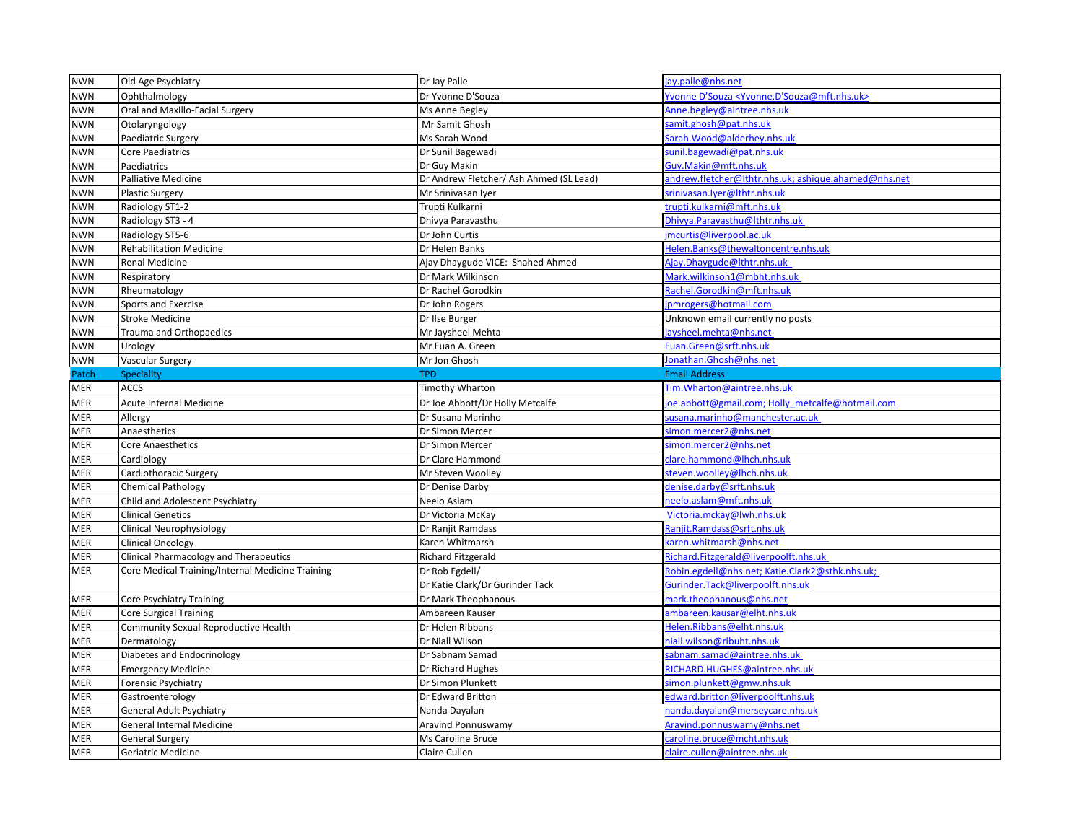| <b>NWN</b> | Old Age Psychiatry                               | Dr Jay Palle                            | jay.palle@nhs.net                                                      |
|------------|--------------------------------------------------|-----------------------------------------|------------------------------------------------------------------------|
| <b>NWN</b> | Ophthalmology                                    | Dr Yvonne D'Souza                       | Yvonne D'Souza <yvonne.d'souza@mft.nhs.uk></yvonne.d'souza@mft.nhs.uk> |
| <b>NWN</b> | Oral and Maxillo-Facial Surgery                  | Ms Anne Begley                          | Anne.begley@aintree.nhs.uk                                             |
| <b>NWN</b> | Otolaryngology                                   | Mr Samit Ghosh                          | samit.ghosh@pat.nhs.uk                                                 |
| <b>NWN</b> | Paediatric Surgery                               | Ms Sarah Wood                           | Sarah. Wood@alderhey.nhs.uk                                            |
| <b>NWN</b> | <b>Core Paediatrics</b>                          | Dr Sunil Bagewadi                       | sunil.bagewadi@pat.nhs.uk                                              |
| <b>NWN</b> | Paediatrics                                      | Dr Guy Makin                            | Guy.Makin@mft.nhs.uk                                                   |
| <b>NWN</b> | Palliative Medicine                              | Dr Andrew Fletcher/ Ash Ahmed (SL Lead) | andrew.fletcher@lthtr.nhs.uk; ashique.ahamed@nhs.net                   |
| <b>NWN</b> | <b>Plastic Surgery</b>                           | Mr Srinivasan Iyer                      | srinivasan.lyer@lthtr.nhs.uk                                           |
| <b>NWN</b> | Radiology ST1-2                                  | Trupti Kulkarni                         | trupti.kulkarni@mft.nhs.uk                                             |
| <b>NWN</b> | Radiology ST3 - 4                                | Dhivya Paravasthu                       | Dhivya.Paravasthu@lthtr.nhs.uk                                         |
| <b>NWN</b> | Radiology ST5-6                                  | Dr John Curtis                          | jmcurtis@liverpool.ac.uk                                               |
| <b>NWN</b> | <b>Rehabilitation Medicine</b>                   | Dr Helen Banks                          | Helen.Banks@thewaltoncentre.nhs.uk                                     |
| <b>NWN</b> | <b>Renal Medicine</b>                            | Ajay Dhaygude VICE: Shahed Ahmed        | Ajay.Dhaygude@Ithtr.nhs.uk                                             |
| <b>NWN</b> | Respiratory                                      | Dr Mark Wilkinson                       | Mark.wilkinson1@mbht.nhs.uk                                            |
| <b>NWN</b> | Rheumatology                                     | Dr Rachel Gorodkin                      | Rachel.Gorodkin@mft.nhs.uk                                             |
| <b>NWN</b> | <b>Sports and Exercise</b>                       | Dr John Rogers                          | ipmrogers@hotmail.com                                                  |
| <b>NWN</b> | <b>Stroke Medicine</b>                           | Dr Ilse Burger                          | Unknown email currently no posts                                       |
| <b>NWN</b> | Trauma and Orthopaedics                          | Mr Jaysheel Mehta                       | jaysheel.mehta@nhs.net                                                 |
| <b>NWN</b> | Urology                                          | Mr Euan A. Green                        | Euan.Green@srft.nhs.uk                                                 |
| <b>NWN</b> | <b>Vascular Surgery</b>                          | Mr Jon Ghosh                            | Jonathan.Ghosh@nhs.net                                                 |
| Patch      | Speciality                                       | <b>TPD</b>                              | <b>Email Address</b>                                                   |
| MER        | <b>ACCS</b>                                      | <b>Timothy Wharton</b>                  | Tim. Wharton@aintree.nhs.uk                                            |
| MER        | Acute Internal Medicine                          | Dr Joe Abbott/Dr Holly Metcalfe         | oe.abbott@gmail.com; Holly_metcalfe@hotmail.com                        |
| MER        | Allergy                                          | Dr Susana Marinho                       | susana.marinho@manchester.ac.uk                                        |
| MER        | Anaesthetics                                     | Dr Simon Mercer                         | simon.mercer2@nhs.net                                                  |
| MER        | <b>Core Anaesthetics</b>                         | Dr Simon Mercer                         | simon.mercer2@nhs.net                                                  |
| MER        | Cardiology                                       | Dr Clare Hammond                        | clare.hammond@lhch.nhs.uk                                              |
| MER        | Cardiothoracic Surgery                           | Mr Steven Woolley                       | steven.woolley@lhch.nhs.uk                                             |
| MER        | <b>Chemical Pathology</b>                        | Dr Denise Darby                         | denise.darby@srft.nhs.uk                                               |
| MER        | Child and Adolescent Psychiatry                  | Neelo Aslam                             | neelo.aslam@mft.nhs.uk                                                 |
| MER        | <b>Clinical Genetics</b>                         | Dr Victoria McKay                       | Victoria.mckay@lwh.nhs.uk                                              |
| MER        | Clinical Neurophysiology                         | Dr Ranjit Ramdass                       | Ranjit.Ramdass@srft.nhs.uk                                             |
| MER        | <b>Clinical Oncology</b>                         | Karen Whitmarsh                         | caren.whitmarsh@nhs.net                                                |
| MER        | Clinical Pharmacology and Therapeutics           | Richard Fitzgerald                      | Richard.Fitzgerald@liverpoolft.nhs.uk                                  |
| MER        | Core Medical Training/Internal Medicine Training | Dr Rob Egdell/                          | Robin.egdell@nhs.net; Katie.Clark2@sthk.nhs.uk;                        |
|            |                                                  | Dr Katie Clark/Dr Gurinder Tack         | Gurinder.Tack@liverpoolft.nhs.uk                                       |
| MER        | <b>Core Psychiatry Training</b>                  | Dr Mark Theophanous                     | mark.theophanous@nhs.net                                               |
| MER        | Core Surgical Training                           | Ambareen Kauser                         | ambareen.kausar@elht.nhs.uk                                            |
| MER        | Community Sexual Reproductive Health             | Dr Helen Ribbans                        | Helen.Ribbans@elht.nhs.uk                                              |
| MER        | Dermatology                                      | Dr Niall Wilson                         | niall.wilson@rlbuht.nhs.uk                                             |
| MER        | Diabetes and Endocrinology                       | Dr Sabnam Samad                         | sabnam.samad@aintree.nhs.uk                                            |
| MER        | <b>Emergency Medicine</b>                        | Dr Richard Hughes                       | RICHARD.HUGHES@aintree.nhs.uk                                          |
| MER        | Forensic Psychiatry                              | Dr Simon Plunkett                       | simon.plunkett@gmw.nhs.uk                                              |
| MER        | Gastroenterology                                 | Dr Edward Britton                       | edward.britton@liverpoolft.nhs.uk                                      |
| MER        | General Adult Psychiatry                         | Nanda Dayalan                           | nanda.dayalan@merseycare.nhs.uk                                        |
| MER        | General Internal Medicine                        | Aravind Ponnuswamy                      | Aravind.ponnuswamy@nhs.net                                             |
| MER        | <b>General Surgery</b>                           | Ms Caroline Bruce                       | caroline.bruce@mcht.nhs.uk                                             |
| <b>MER</b> | Geriatric Medicine                               | Claire Cullen                           | claire.cullen@aintree.nhs.uk                                           |